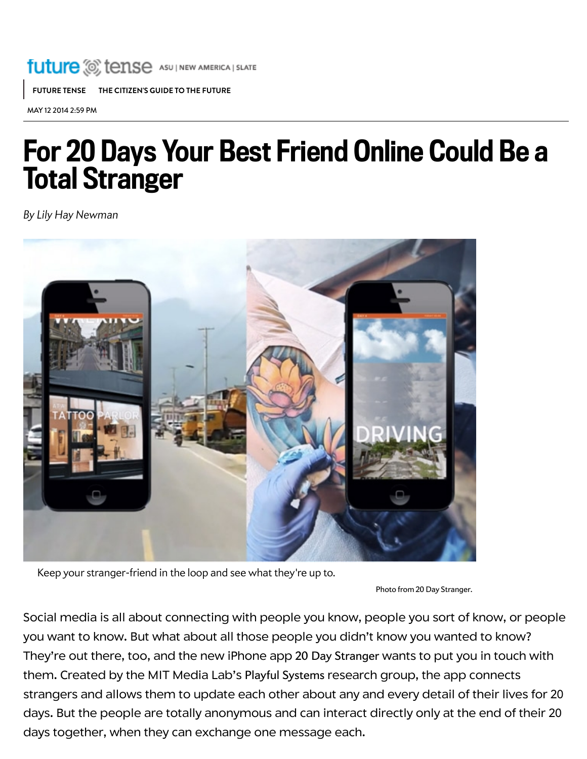## **future** C tense ASU | NEW AMERICA | SLATE

[FUTURE](http://www.slate.com/blogs/future_tense.html) TENSE THE CITIZEN'S GUIDE TO THE FUTURE

MAY 12 2014 2:59 PM

## For 20 Days Your Best Friend Online Could Be a Total Stranger

By Lily Hay [Newman](http://www.slate.com/authors.lily_hay_newman.html)



Keep your stranger-friend in the loop and see what they're up to.

Photo from 20 Day [Stranger.](http://www.20daystranger.com/)

Social media is all about connecting with people you know, people you sort of know, or people you want to know. But what about all those people you didn't know you wanted to know? They're out there, too, and the new iPhone app 20 Day [Stranger](http://www.20daystranger.com/) wants to put you in touch with them. Created by the MIT Media Lab's Playful [Systems](http://www.media.mit.edu/research/groups/playful-systems) research group, the app connects strangers and allows them to update each other about any and every detail of their lives for 20 days. But the people are totally anonymous and can interact directly only at the end of their 20 days together, when they can exchange one message each.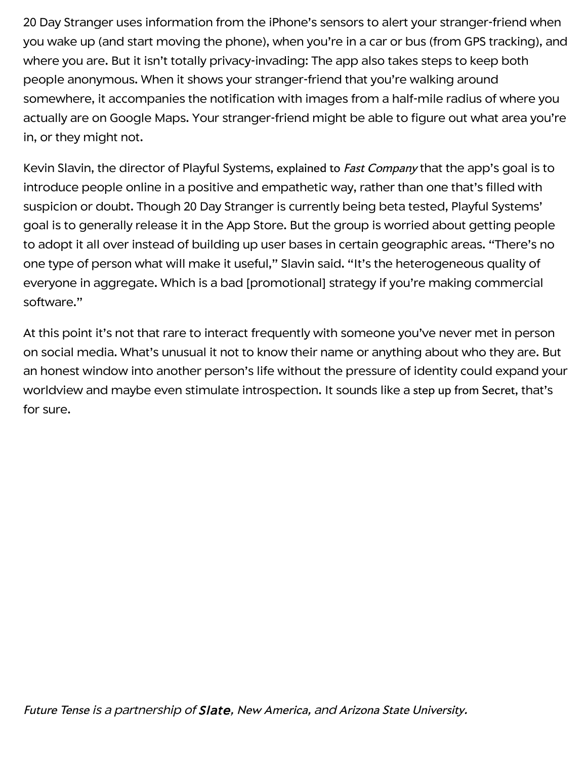20 Day Stranger uses information from the iPhone's sensors to alert your stranger-friend when you wake up (and start moving the phone), when you're in a car or bus (from GPS tracking), and where you are. But it isn't totally privacy-invading: The app also takes steps to keep both people anonymous. When it shows your stranger-friend that you're walking around somewhere, it accompanies the notification with images from a half-mile radius of where you actually are on Google Maps. Your stranger-friend might be able to figure out what area you're in, or they might not.

Kevin Slavin, the director of Playful Systems, [explained](http://www.fastcodesign.com/3030145/mit-iphone-app-makes-you-intimate-with-a-stranger) to Fast Company that the app's goal is to introduce people online in a positive and empathetic way, rather than one that's filled with suspicion or doubt. Though 20 Day Stranger is currently being beta tested, Playful Systems' goal is to generally release it in the App Store. But the group is worried about getting people to adopt it all over instead of building up user bases in certain geographic areas. "There's no one type of person what will make it useful," Slavin said. "It's the heterogeneous quality of everyone in aggregate. Which is a bad [promotional] strategy if you're making commercial software."

At this point it's not that rare to interact frequently with someone you've never met in person on social media. What's unusual it not to know their name or anything about who they are. But an honest window into another person's life without the pressure of identity could expand your worldview and maybe even stimulate introspection. It sounds like a step up from [Secret](http://www.slate.com/articles/technology/technology/2014/03/whisper_secret_yik_yak_new_anonymous_social_networks_are_neither_new_nor.html), that's for sure.